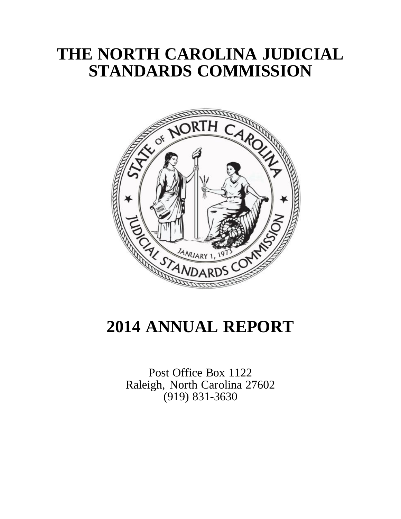# **THE NORTH CAROLINA JUDICIAL STANDARDS COMMISSION**



# **2014 ANNUAL REPORT**

Post Office Box 1122 Raleigh, North Carolina 27602 (919) 831-3630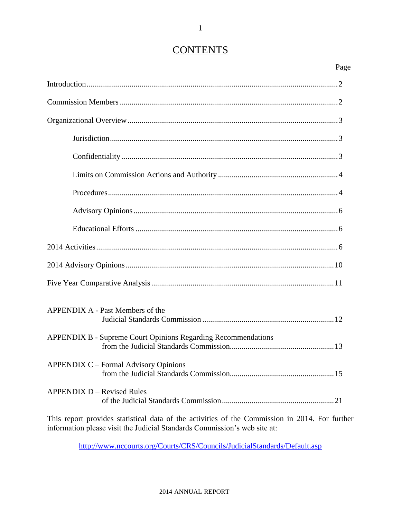# **CONTENTS**

# Page

| APPENDIX A - Past Members of the                                                               |
|------------------------------------------------------------------------------------------------|
| <b>APPENDIX B - Supreme Court Opinions Regarding Recommendations</b>                           |
| <b>APPENDIX C – Formal Advisory Opinions</b>                                                   |
| <b>APPENDIX D – Revised Rules</b>                                                              |
| This report provides statistical data of the activities of the Commission in 2014. For further |

<http://www.nccourts.org/Courts/CRS/Councils/JudicialStandards/Default.asp>

information please visit the Judicial Standards Commission's web site at: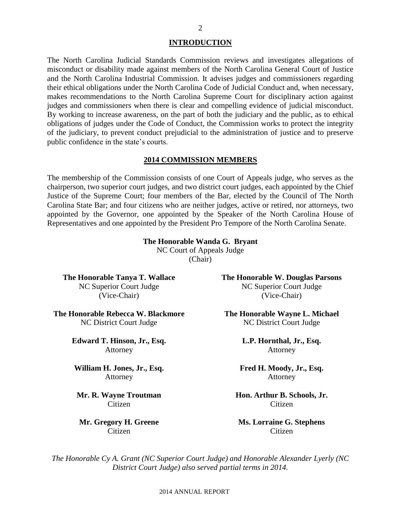#### 2

# **INTRODUCTION**

The North Carolina Judicial Standards Commission reviews and investigates allegations of misconduct or disability made against members of the North Carolina General Court of Justice and the North Carolina Industrial Commission. It advises judges and commissioners regarding their ethical obligations under the North Carolina Code of Judicial Conduct and, when necessary, makes recommendations to the North Carolina Supreme Court for disciplinary action against judges and commissioners when there is clear and compelling evidence of judicial misconduct. By working to increase awareness, on the part of both the judiciary and the public, as to ethical obligations of judges under the Code of Conduct, the Commission works to protect the integrity of the judiciary, to prevent conduct prejudicial to the administration of justice and to preserve public confidence in the state's courts.

#### **2014 COMMISSION MEMBERS**

The membership of the Commission consists of one Court of Appeals judge, who serves as the chairperson, two superior court judges, and two district court judges, each appointed by the Chief Justice of the Supreme Court; four members of the Bar, elected by the Council of The North Carolina State Bar; and four citizens who are neither judges, active or retired, nor attorneys, two appointed by the Governor, one appointed by the Speaker of the North Carolina House of Representatives and one appointed by the President Pro Tempore of the North Carolina Senate.

#### **The Honorable Wanda G. Bryant**

NC Court of Appeals Judge (Chair)

**The Honorable Tanya T. Wallace** NC Superior Court Judge (Vice-Chair)

**The Honorable Rebecca W. Blackmore** NC District Court Judge

> **Edward T. Hinson, Jr., Esq.** Attorney

**William H. Jones, Jr., Esq.** Attorney

**Mr. R. Wayne Troutman** Citizen

**Mr. Gregory H. Greene** Citizen

**The Honorable W. Douglas Parsons** NC Superior Court Judge (Vice-Chair)

**The Honorable Wayne L. Michael** NC District Court Judge

> **L.P. Hornthal, Jr., Esq.** Attorney

**Fred H. Moody, Jr., Esq.** Attorney

**Hon. Arthur B. Schools, Jr.** Citizen

**Ms. Lorraine G. Stephens** Citizen

*The Honorable Cy A. Grant (NC Superior Court Judge) and Honorable Alexander Lyerly (NC District Court Judge) also served partial terms in 2014.*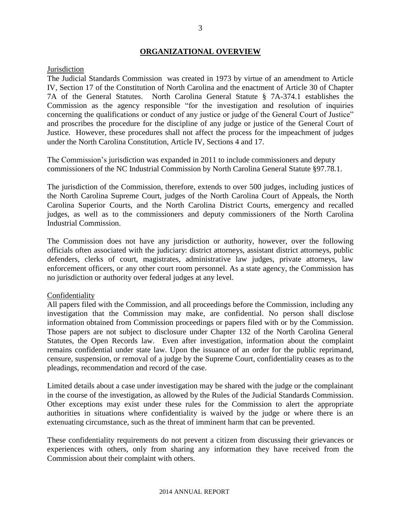# **ORGANIZATIONAL OVERVIEW**

# **Jurisdiction**

The Judicial Standards Commission was created in 1973 by virtue of an amendment to Article IV, Section 17 of the Constitution of North Carolina and the enactment of Article 30 of Chapter 7A of the General Statutes. North Carolina General Statute § 7A-374.1 establishes the Commission as the agency responsible "for the investigation and resolution of inquiries concerning the qualifications or conduct of any justice or judge of the General Court of Justice" and proscribes the procedure for the discipline of any judge or justice of the General Court of Justice. However, these procedures shall not affect the process for the impeachment of judges under the North Carolina Constitution, Article IV, Sections 4 and 17.

The Commission's jurisdiction was expanded in 2011 to include commissioners and deputy commissioners of the NC Industrial Commission by North Carolina General Statute §97.78.1.

The jurisdiction of the Commission, therefore, extends to over 500 judges, including justices of the North Carolina Supreme Court, judges of the North Carolina Court of Appeals, the North Carolina Superior Courts, and the North Carolina District Courts, emergency and recalled judges, as well as to the commissioners and deputy commissioners of the North Carolina Industrial Commission.

The Commission does not have any jurisdiction or authority, however, over the following officials often associated with the judiciary: district attorneys, assistant district attorneys, public defenders, clerks of court, magistrates, administrative law judges, private attorneys, law enforcement officers, or any other court room personnel. As a state agency, the Commission has no jurisdiction or authority over federal judges at any level.

# Confidentiality

All papers filed with the Commission, and all proceedings before the Commission, including any investigation that the Commission may make, are confidential. No person shall disclose information obtained from Commission proceedings or papers filed with or by the Commission. Those papers are not subject to disclosure under Chapter 132 of the North Carolina General Statutes, the Open Records law. Even after investigation, information about the complaint remains confidential under state law. Upon the issuance of an order for the public reprimand, censure, suspension, or removal of a judge by the Supreme Court, confidentiality ceases as to the pleadings, recommendation and record of the case.

Limited details about a case under investigation may be shared with the judge or the complainant in the course of the investigation, as allowed by the Rules of the Judicial Standards Commission. Other exceptions may exist under these rules for the Commission to alert the appropriate authorities in situations where confidentiality is waived by the judge or where there is an extenuating circumstance, such as the threat of imminent harm that can be prevented.

These confidentiality requirements do not prevent a citizen from discussing their grievances or experiences with others, only from sharing any information they have received from the Commission about their complaint with others.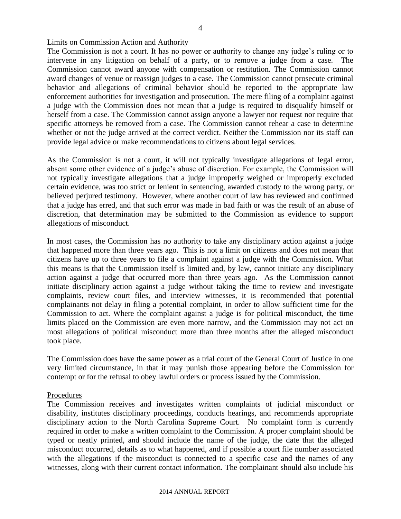Limits on Commission Action and Authority

The Commission is not a court. It has no power or authority to change any judge's ruling or to intervene in any litigation on behalf of a party, or to remove a judge from a case. The Commission cannot award anyone with compensation or restitution. The Commission cannot award changes of venue or reassign judges to a case. The Commission cannot prosecute criminal behavior and allegations of criminal behavior should be reported to the appropriate law enforcement authorities for investigation and prosecution. The mere filing of a complaint against a judge with the Commission does not mean that a judge is required to disqualify himself or herself from a case. The Commission cannot assign anyone a lawyer nor request nor require that specific attorneys be removed from a case. The Commission cannot rehear a case to determine whether or not the judge arrived at the correct verdict. Neither the Commission nor its staff can provide legal advice or make recommendations to citizens about legal services.

As the Commission is not a court, it will not typically investigate allegations of legal error, absent some other evidence of a judge's abuse of discretion. For example, the Commission will not typically investigate allegations that a judge improperly weighed or improperly excluded certain evidence, was too strict or lenient in sentencing, awarded custody to the wrong party, or believed perjured testimony. However, where another court of law has reviewed and confirmed that a judge has erred, and that such error was made in bad faith or was the result of an abuse of discretion, that determination may be submitted to the Commission as evidence to support allegations of misconduct.

In most cases, the Commission has no authority to take any disciplinary action against a judge that happened more than three years ago. This is not a limit on citizens and does not mean that citizens have up to three years to file a complaint against a judge with the Commission. What this means is that the Commission itself is limited and, by law, cannot initiate any disciplinary action against a judge that occurred more than three years ago. As the Commission cannot initiate disciplinary action against a judge without taking the time to review and investigate complaints, review court files, and interview witnesses, it is recommended that potential complainants not delay in filing a potential complaint, in order to allow sufficient time for the Commission to act. Where the complaint against a judge is for political misconduct, the time limits placed on the Commission are even more narrow, and the Commission may not act on most allegations of political misconduct more than three months after the alleged misconduct took place.

The Commission does have the same power as a trial court of the General Court of Justice in one very limited circumstance, in that it may punish those appearing before the Commission for contempt or for the refusal to obey lawful orders or process issued by the Commission.

# Procedures

The Commission receives and investigates written complaints of judicial misconduct or disability, institutes disciplinary proceedings, conducts hearings, and recommends appropriate disciplinary action to the North Carolina Supreme Court. No complaint form is currently required in order to make a written complaint to the Commission. A proper complaint should be typed or neatly printed, and should include the name of the judge, the date that the alleged misconduct occurred, details as to what happened, and if possible a court file number associated with the allegations if the misconduct is connected to a specific case and the names of any witnesses, along with their current contact information. The complainant should also include his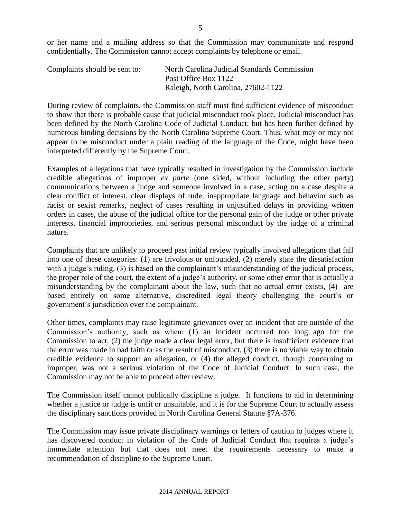or her name and a mailing address so that the Commission may communicate and respond confidentially. The Commission cannot accept complaints by telephone or email.

| Complaints should be sent to: | North Carolina Judicial Standards Commission |
|-------------------------------|----------------------------------------------|
|                               | Post Office Box 1122                         |
|                               | Raleigh, North Carolina, 27602-1122          |

During review of complaints, the Commission staff must find sufficient evidence of misconduct to show that there is probable cause that judicial misconduct took place. Judicial misconduct has been defined by the North Carolina Code of Judicial Conduct, but has been further defined by numerous binding decisions by the North Carolina Supreme Court. Thus, what may or may not appear to be misconduct under a plain reading of the language of the Code, might have been interpreted differently by the Supreme Court.

Examples of allegations that have typically resulted in investigation by the Commission include credible allegations of improper *ex parte* (one sided, without including the other party) communications between a judge and someone involved in a case, acting on a case despite a clear conflict of interest, clear displays of rude, inappropriate language and behavior such as racist or sexist remarks, neglect of cases resulting in unjustified delays in providing written orders in cases, the abuse of the judicial office for the personal gain of the judge or other private interests, financial improprieties, and serious personal misconduct by the judge of a criminal nature.

Complaints that are unlikely to proceed past initial review typically involved allegations that fall into one of these categories: (1) are frivolous or unfounded, (2) merely state the dissatisfaction with a judge's ruling, (3) is based on the complainant's misunderstanding of the judicial process, the proper role of the court, the extent of a judge's authority, or some other error that is actually a misunderstanding by the complainant about the law, such that no actual error exists, (4) are based entirely on some alternative, discredited legal theory challenging the court's or government's jurisdiction over the complainant.

Other times, complaints may raise legitimate grievances over an incident that are outside of the Commission's authority, such as when: (1) an incident occurred too long ago for the Commission to act, (2) the judge made a clear legal error, but there is insufficient evidence that the error was made in bad faith or as the result of misconduct, (3) there is no viable way to obtain credible evidence to support an allegation, or (4) the alleged conduct, though concerning or improper, was not a serious violation of the Code of Judicial Conduct. In such case, the Commission may not be able to proceed after review.

The Commission itself cannot publically discipline a judge. It functions to aid in determining whether a justice or judge is unfit or unsuitable, and it is for the Supreme Court to actually assess the disciplinary sanctions provided in North Carolina General Statute §7A-376.

The Commission may issue private disciplinary warnings or letters of caution to judges where it has discovered conduct in violation of the Code of Judicial Conduct that requires a judge's immediate attention but that does not meet the requirements necessary to make a recommendation of discipline to the Supreme Court.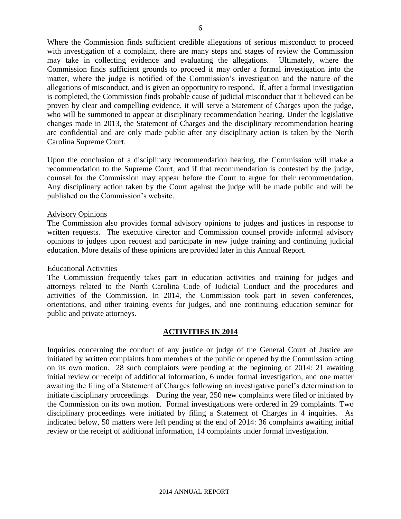Where the Commission finds sufficient credible allegations of serious misconduct to proceed with investigation of a complaint, there are many steps and stages of review the Commission may take in collecting evidence and evaluating the allegations. Ultimately, where the Commission finds sufficient grounds to proceed it may order a formal investigation into the matter, where the judge is notified of the Commission's investigation and the nature of the allegations of misconduct, and is given an opportunity to respond. If, after a formal investigation is completed, the Commission finds probable cause of judicial misconduct that it believed can be proven by clear and compelling evidence, it will serve a Statement of Charges upon the judge, who will be summoned to appear at disciplinary recommendation hearing. Under the legislative changes made in 2013, the Statement of Charges and the disciplinary recommendation hearing are confidential and are only made public after any disciplinary action is taken by the North Carolina Supreme Court.

Upon the conclusion of a disciplinary recommendation hearing, the Commission will make a recommendation to the Supreme Court, and if that recommendation is contested by the judge, counsel for the Commission may appear before the Court to argue for their recommendation. Any disciplinary action taken by the Court against the judge will be made public and will be published on the Commission's website.

# Advisory Opinions

The Commission also provides formal advisory opinions to judges and justices in response to written requests. The executive director and Commission counsel provide informal advisory opinions to judges upon request and participate in new judge training and continuing judicial education. More details of these opinions are provided later in this Annual Report.

# Educational Activities

The Commission frequently takes part in education activities and training for judges and attorneys related to the North Carolina Code of Judicial Conduct and the procedures and activities of the Commission. In 2014, the Commission took part in seven conferences, orientations, and other training events for judges, and one continuing education seminar for public and private attorneys.

# **ACTIVITIES IN 2014**

Inquiries concerning the conduct of any justice or judge of the General Court of Justice are initiated by written complaints from members of the public or opened by the Commission acting on its own motion. 28 such complaints were pending at the beginning of 2014: 21 awaiting initial review or receipt of additional information, 6 under formal investigation, and one matter awaiting the filing of a Statement of Charges following an investigative panel's determination to initiate disciplinary proceedings. During the year, 250 new complaints were filed or initiated by the Commission on its own motion. Formal investigations were ordered in 29 complaints. Two disciplinary proceedings were initiated by filing a Statement of Charges in 4 inquiries. As indicated below, 50 matters were left pending at the end of 2014: 36 complaints awaiting initial review or the receipt of additional information, 14 complaints under formal investigation.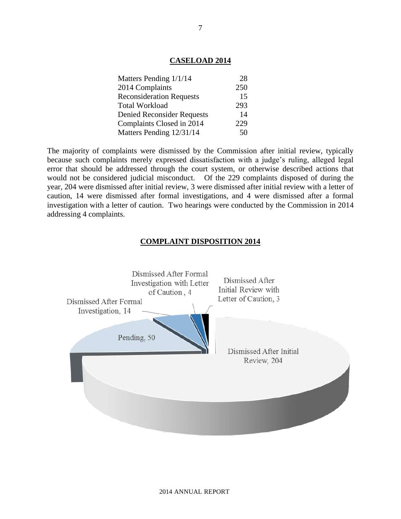# **CASELOAD 2014**

| Matters Pending 1/1/14            | 28  |
|-----------------------------------|-----|
| 2014 Complaints                   | 250 |
| <b>Reconsideration Requests</b>   | 15  |
| <b>Total Workload</b>             | 293 |
| <b>Denied Reconsider Requests</b> | 14  |
| Complaints Closed in 2014         | 229 |
| Matters Pending 12/31/14          | 50  |

The majority of complaints were dismissed by the Commission after initial review, typically because such complaints merely expressed dissatisfaction with a judge's ruling, alleged legal error that should be addressed through the court system, or otherwise described actions that would not be considered judicial misconduct. Of the 229 complaints disposed of during the year, 204 were dismissed after initial review, 3 were dismissed after initial review with a letter of caution, 14 were dismissed after formal investigations, and 4 were dismissed after a formal investigation with a letter of caution. Two hearings were conducted by the Commission in 2014 addressing 4 complaints.

# **COMPLAINT DISPOSITION 2014**

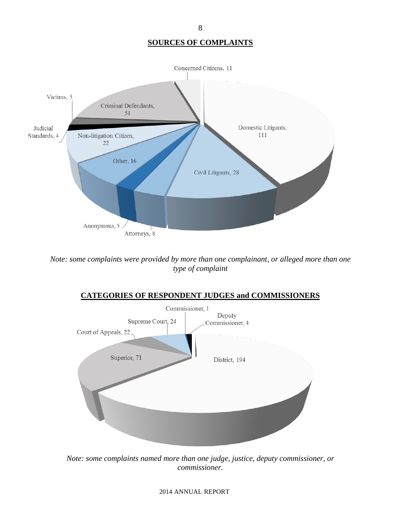# **SOURCES OF COMPLAINTS**



*Note: some complaints were provided by more than one complainant, or alleged more than one type of complaint*



*Note: some complaints named more than one judge, justice, deputy commissioner, or commissioner.*

2014 ANNUAL REPORT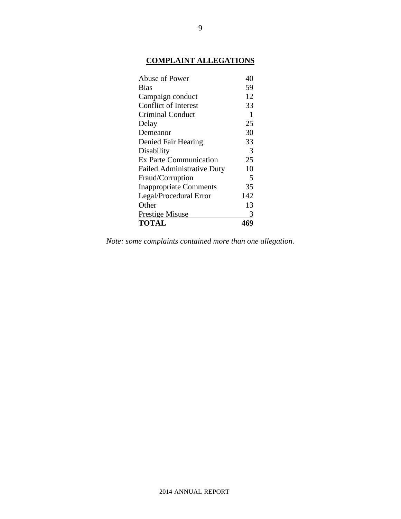# **COMPLAINT ALLEGATIONS**

| Abuse of Power                    | 40  |
|-----------------------------------|-----|
| <b>Bias</b>                       | 59  |
| Campaign conduct                  | 12  |
| Conflict of Interest              | 33  |
|                                   |     |
| Criminal Conduct                  | 1   |
| Delay                             | 25  |
| Demeanor                          | 30  |
| Denied Fair Hearing               | 33  |
| Disability                        | 3   |
| <b>Ex Parte Communication</b>     | 25  |
| <b>Failed Administrative Duty</b> | 10  |
| Fraud/Corruption                  | 5   |
| <b>Inappropriate Comments</b>     | 35  |
| Legal/Procedural Error            | 142 |
| Other                             | 13  |
| <b>Prestige Misuse</b>            | 3   |
| <b>TOTAL</b>                      | 469 |

*Note: some complaints contained more than one allegation.*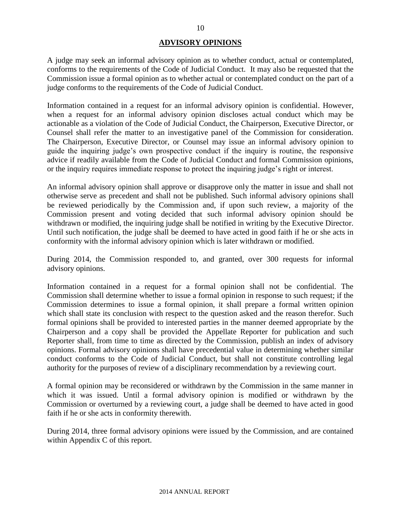# **ADVISORY OPINIONS**

A judge may seek an informal advisory opinion as to whether conduct, actual or contemplated, conforms to the requirements of the Code of Judicial Conduct. It may also be requested that the Commission issue a formal opinion as to whether actual or contemplated conduct on the part of a judge conforms to the requirements of the Code of Judicial Conduct.

Information contained in a request for an informal advisory opinion is confidential. However, when a request for an informal advisory opinion discloses actual conduct which may be actionable as a violation of the Code of Judicial Conduct, the Chairperson, Executive Director, or Counsel shall refer the matter to an investigative panel of the Commission for consideration. The Chairperson, Executive Director, or Counsel may issue an informal advisory opinion to guide the inquiring judge's own prospective conduct if the inquiry is routine, the responsive advice if readily available from the Code of Judicial Conduct and formal Commission opinions, or the inquiry requires immediate response to protect the inquiring judge's right or interest.

An informal advisory opinion shall approve or disapprove only the matter in issue and shall not otherwise serve as precedent and shall not be published. Such informal advisory opinions shall be reviewed periodically by the Commission and, if upon such review, a majority of the Commission present and voting decided that such informal advisory opinion should be withdrawn or modified, the inquiring judge shall be notified in writing by the Executive Director. Until such notification, the judge shall be deemed to have acted in good faith if he or she acts in conformity with the informal advisory opinion which is later withdrawn or modified.

During 2014, the Commission responded to, and granted, over 300 requests for informal advisory opinions.

Information contained in a request for a formal opinion shall not be confidential. The Commission shall determine whether to issue a formal opinion in response to such request; if the Commission determines to issue a formal opinion, it shall prepare a formal written opinion which shall state its conclusion with respect to the question asked and the reason therefor. Such formal opinions shall be provided to interested parties in the manner deemed appropriate by the Chairperson and a copy shall be provided the Appellate Reporter for publication and such Reporter shall, from time to time as directed by the Commission, publish an index of advisory opinions. Formal advisory opinions shall have precedential value in determining whether similar conduct conforms to the Code of Judicial Conduct, but shall not constitute controlling legal authority for the purposes of review of a disciplinary recommendation by a reviewing court.

A formal opinion may be reconsidered or withdrawn by the Commission in the same manner in which it was issued. Until a formal advisory opinion is modified or withdrawn by the Commission or overturned by a reviewing court, a judge shall be deemed to have acted in good faith if he or she acts in conformity therewith.

During 2014, three formal advisory opinions were issued by the Commission, and are contained within Appendix C of this report.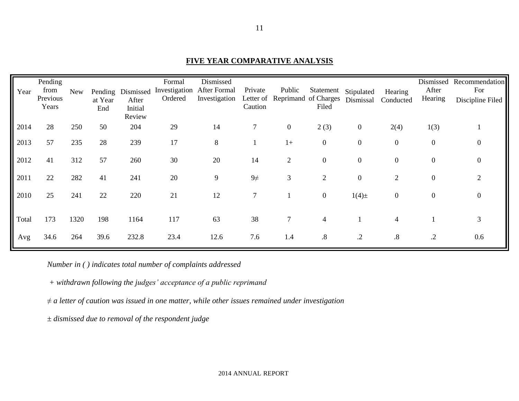| Year  | Pending<br>from<br>Previous<br>Years | New  | at Year<br>End | Pending Dismissed<br>After<br>Initial<br>Review | Formal<br>Ordered | Dismissed<br><b>Investigation</b> After Formal<br>Investigation | Private<br>Caution | Public<br>Letter of Reprimand of Charges Dismissal | Statement<br>Filed | Stipulated       | Hearing<br>Conducted | Dismissed<br>After<br>Hearing | Recommendation<br>For<br>Discipline Filed |
|-------|--------------------------------------|------|----------------|-------------------------------------------------|-------------------|-----------------------------------------------------------------|--------------------|----------------------------------------------------|--------------------|------------------|----------------------|-------------------------------|-------------------------------------------|
| 2014  | 28                                   | 250  | 50             | 204                                             | 29                | 14                                                              | $\overline{7}$     | $\overline{0}$                                     | 2(3)               | $\boldsymbol{0}$ | 2(4)                 | 1(3)                          |                                           |
| 2013  | 57                                   | 235  | 28             | 239                                             | 17                | 8                                                               | -1                 | $1+$                                               | $\boldsymbol{0}$   | $\boldsymbol{0}$ | $\overline{0}$       | $\boldsymbol{0}$              | $\theta$                                  |
| 2012  | 41                                   | 312  | 57             | 260                                             | 30                | 20                                                              | 14                 | $\overline{2}$                                     | $\boldsymbol{0}$   | $\boldsymbol{0}$ | $\overline{0}$       | $\boldsymbol{0}$              | $\boldsymbol{0}$                          |
| 2011  | 22                                   | 282  | 41             | 241                                             | 20                | 9                                                               | $9\neq$            | 3                                                  | $\overline{2}$     | $\boldsymbol{0}$ | $\overline{2}$       | $\boldsymbol{0}$              | $\overline{2}$                            |
| 2010  | 25                                   | 241  | 22             | 220                                             | 21                | 12                                                              | $\overline{7}$     |                                                    | $\mathbf{0}$       | $1(4) \pm$       | $\overline{0}$       | $\boldsymbol{0}$              | $\boldsymbol{0}$                          |
| Total | 173                                  | 1320 | 198            | 1164                                            | 117               | 63                                                              | 38                 | $\overline{7}$                                     | 4                  |                  |                      |                               | 3                                         |
| Avg   | 34.6                                 | 264  | 39.6           | 232.8                                           | 23.4              | 12.6                                                            | 7.6                | 1.4                                                | $\boldsymbol{.8}$  | $\cdot$ .2       | $\boldsymbol{.8}$    | $\cdot^2$                     | 0.6                                       |

# **FIVE YEAR COMPARATIVE ANALYSIS**

*Number in ( ) indicates total number of complaints addressed*

*+ withdrawn following the judges' acceptance of a public reprimand* 

*≠ a letter of caution was issued in one matter, while other issues remained under investigation* 

*± dismissed due to removal of the respondent judge*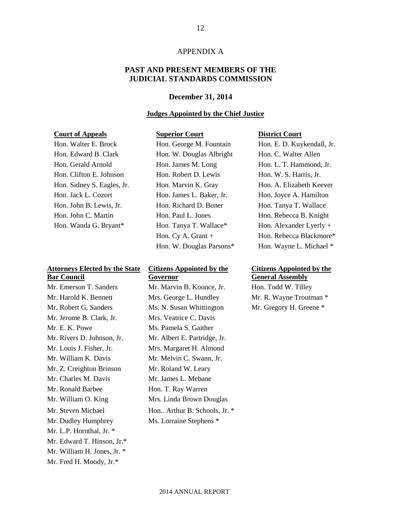# APPENDIX A

# **PAST AND PRESENT MEMBERS OF THE JUDICIAL STANDARDS COMMISSION**

# **December 31, 2014**

#### **Judges Appointed by the Chief Justice**

#### **Court of Appeals Superior Court District Court**

# **Attorneys Elected by the State Bar Council**

Mr. Jerome B. Clark, Jr. Mrs. Veatrice C. Davis Mr. E. K. Powe Ms. Pamela S. Gaither Mr. Louis J. Fisher, Jr. Mrs. Margaret H. Almond Mr. William K. Davis Mr. Melvin C. Swann, Jr. Mr. Z. Creighton Brinson Mr. Roland W. Leary Mr. Charles M. Davis Mr. James L. Mebane Mr. Ronald Barbee Hon. T. Ray Warren Mr. Dudley Humphrey Ms. Lorraine Stephens \* Mr. L.P. Hornthal, Jr. \* Mr. Edward T. Hinson, Jr.\* Mr. William H. Jones, Jr. \* Mr. Fred H. Moody, Jr.\*

Hon. Edward B. Clark Hon. W. Douglas Albright Hon. C. Walter Allen Hon. Gerald Arnold Hon. James M. Long Hon. L. T. Hammond, Jr. Hon. Clifton E. Johnson Hon. Robert D. Lewis Hon. W. S. Harris, Jr. Hon. Sidney S. Eagles, Jr. Hon. Marvin K. Gray Hon. A. Elizabeth Keever Hon. Jack L. Cozort Hon. James L. Baker, Jr. Hon. Joyce A. Hamilton Hon. John B. Lewis, Jr. Hon. Richard D. Boner Hon. Tanya T. Wallace Hon. John C. Martin Hon. Paul L. Jones Hon. Rebecca B. Knight Hon. Wanda G. Bryant\* Hon. Tanya T. Wallace\* Hon. Alexander Lyerly + Hon. Cy A. Grant + Hon. Rebecca Blackmore\* Hon. W. Douglas Parsons\* Hon. Wayne L. Michael \*

Hon. Walter E. Brock Hon. George M. Fountain Hon. E. D. Kuykendall, Jr.

# **Citizens Appointed by the General Assembly**

Mr. Emerson T. Sanders Mr. Marvin B. Koonce, Jr. Hon. Todd W. Tilley

# **Citizens Appointed by the Governor**

Mr. Harold K. Bennett Mrs. George L. Hundley Mr. R. Wayne Troutman \* Mr. Robert G. Sanders Ms. N. Susan Whittington Mr. Gregory H. Greene \* Mr. Rivers D. Johnson, Jr. Mr. Albert E. Partridge, Jr. Mr. William O. King Mrs. Linda Brown Douglas Mr. Steven Michael Hon.. Arthur B. Schools, Jr. \*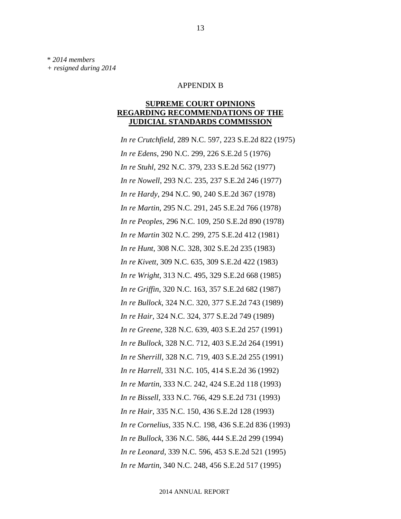\* *2014 members + resigned during 2014*

#### APPENDIX B

# **SUPREME COURT OPINIONS REGARDING RECOMMENDATIONS OF THE JUDICIAL STANDARDS COMMISSION**

*In re Crutchfield*, 289 N.C. 597, 223 S.E.2d 822 (1975) *In re Edens*, 290 N.C. 299, 226 S.E.2d 5 (1976) *In re Stuhl*, 292 N.C. 379, 233 S.E.2d 562 (1977) *In re Nowell*, 293 N.C. 235, 237 S.E.2d 246 (1977) *In re Hardy*, 294 N.C. 90, 240 S.E.2d 367 (1978) *In re Martin*, 295 N.C. 291, 245 S.E.2d 766 (1978) *In re Peoples*, 296 N.C. 109, 250 S.E.2d 890 (1978) *In re Martin* 302 N.C. 299, 275 S.E.2d 412 (1981) *In re Hunt*, 308 N.C. 328, 302 S.E.2d 235 (1983) *In re Kivett*, 309 N.C. 635, 309 S.E.2d 422 (1983) *In re Wright*, 313 N.C. 495, 329 S.E.2d 668 (1985) *In re Griffin*, 320 N.C. 163, 357 S.E.2d 682 (1987) *In re Bullock*, 324 N.C. 320, 377 S.E.2d 743 (1989) *In re Hair*, 324 N.C. 324, 377 S.E.2d 749 (1989) *In re Greene*, 328 N.C. 639, 403 S.E.2d 257 (1991) *In re Bullock*, 328 N.C. 712, 403 S.E.2d 264 (1991) *In re Sherrill*, 328 N.C. 719, 403 S.E.2d 255 (1991) *In re Harrell*, 331 N.C. 105, 414 S.E.2d 36 (1992) *In re Martin*, 333 N.C. 242, 424 S.E.2d 118 (1993) *In re Bissell*, 333 N.C. 766, 429 S.E.2d 731 (1993) *In re Hair*, 335 N.C. 150, 436 S.E.2d 128 (1993) *In re Cornelius*, 335 N.C. 198, 436 S.E.2d 836 (1993) *In re Bullock*, 336 N.C. 586, 444 S.E.2d 299 (1994) *In re Leonard*, 339 N.C. 596, 453 S.E.2d 521 (1995) *In re Martin*, 340 N.C. 248, 456 S.E.2d 517 (1995)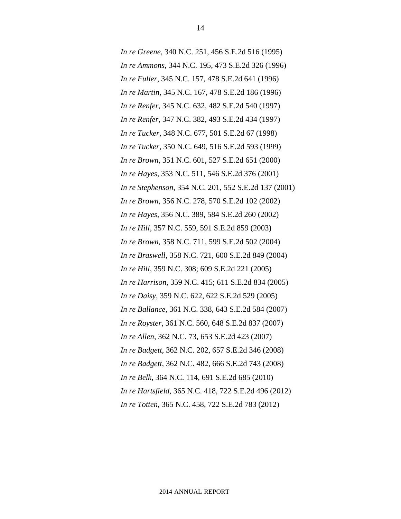*In re Greene*, 340 N.C. 251, 456 S.E.2d 516 (1995) *In re Ammons*, 344 N.C. 195, 473 S.E.2d 326 (1996) *In re Fuller*, 345 N.C. 157, 478 S.E.2d 641 (1996) *In re Martin*, 345 N.C. 167, 478 S.E.2d 186 (1996) *In re Renfer*, 345 N.C. 632, 482 S.E.2d 540 (1997) *In re Renfer*, 347 N.C. 382, 493 S.E.2d 434 (1997) *In re Tucker*, 348 N.C. 677, 501 S.E.2d 67 (1998) *In re Tucker*, 350 N.C. 649, 516 S.E.2d 593 (1999) *In re Brown*, 351 N.C. 601, 527 S.E.2d 651 (2000) *In re Hayes*, 353 N.C. 511, 546 S.E.2d 376 (2001) *In re Stephenson*, 354 N.C. 201, 552 S.E.2d 137 (2001) *In re Brown*, 356 N.C. 278, 570 S.E.2d 102 (2002) *In re Hayes*, 356 N.C. 389, 584 S.E.2d 260 (2002) *In re Hill*, 357 N.C. 559, 591 S.E.2d 859 (2003) *In re Brown*, 358 N.C. 711, 599 S.E.2d 502 (2004) *In re Braswell*, 358 N.C. 721, 600 S.E.2d 849 (2004) *In re Hill*, 359 N.C. 308; 609 S.E.2d 221 (2005) *In re Harrison,* 359 N.C. 415; 611 S.E.2d 834 (2005) *In re Daisy*, 359 N.C. 622, 622 S.E.2d 529 (2005) *In re Ballance*, 361 N.C. 338, 643 S.E.2d 584 (2007) *In re Royster*, 361 N.C. 560, 648 S.E.2d 837 (2007) *In re Allen*, 362 N.C. 73, 653 S.E.2d 423 (2007) *In re Badgett,* 362 N.C. 202, 657 S.E.2d 346 (2008) *In re Badgett,* 362 N.C. 482, 666 S.E.2d 743 (2008) *In re Belk,* 364 N.C. 114, 691 S.E.2d 685 (2010) *In re Hartsfield,* 365 N.C. 418, 722 S.E.2d 496 (2012) *In re Totten,* 365 N.C. 458, 722 S.E.2d 783 (2012)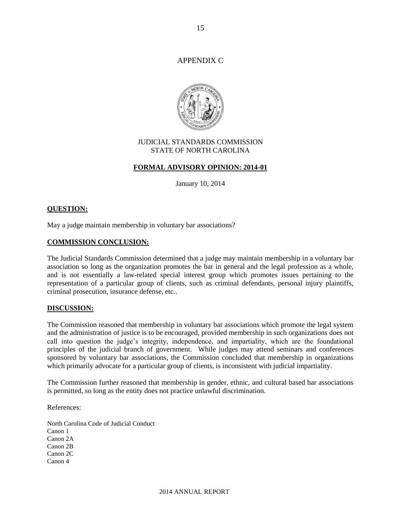# APPENDIX C



# JUDICIAL STANDARDS COMMISSION STATE OF NORTH CAROLINA

# **FORMAL ADVISORY OPINION: 2014-01**

January 10, 2014

# **QUESTION:**

May a judge maintain membership in voluntary bar associations?

# **COMMISSION CONCLUSION:**

The Judicial Standards Commission determined that a judge may maintain membership in a voluntary bar association so long as the organization promotes the bar in general and the legal profession as a whole, and is not essentially a law-related special interest group which promotes issues pertaining to the representation of a particular group of clients, such as criminal defendants, personal injury plaintiffs, criminal prosecution, insurance defense, etc..

# **DISCUSSION:**

The Commission reasoned that membership in voluntary bar associations which promote the legal system and the administration of justice is to be encouraged, provided membership in such organizations does not call into question the judge's integrity, independence, and impartiality, which are the foundational principles of the judicial branch of government. While judges may attend seminars and conferences sponsored by voluntary bar associations, the Commission concluded that membership in organizations which primarily advocate for a particular group of clients, is inconsistent with judicial impartiality.

The Commission further reasoned that membership in gender, ethnic, and cultural based bar associations is permitted, so long as the entity does not practice unlawful discrimination.

References:

North Carolina Code of Judicial Conduct Canon 1 Canon 2A Canon 2B Canon 2C Canon 4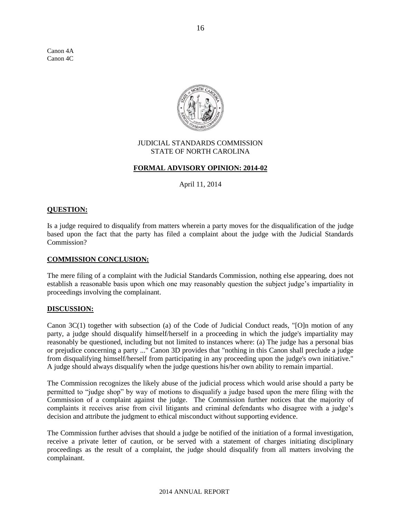Canon 4A Canon 4C



# JUDICIAL STANDARDS COMMISSION STATE OF NORTH CAROLINA

# **FORMAL ADVISORY OPINION: 2014-02**

April 11, 2014

# **QUESTION:**

Is a judge required to disqualify from matters wherein a party moves for the disqualification of the judge based upon the fact that the party has filed a complaint about the judge with the Judicial Standards Commission?

# **COMMISSION CONCLUSION:**

The mere filing of a complaint with the Judicial Standards Commission, nothing else appearing, does not establish a reasonable basis upon which one may reasonably question the subject judge's impartiality in proceedings involving the complainant.

## **DISCUSSION:**

Canon 3C(1) together with subsection (a) of the Code of Judicial Conduct reads, "[O]n motion of any party, a judge should disqualify himself/herself in a proceeding in which the judge's impartiality may reasonably be questioned, including but not limited to instances where: (a) The judge has a personal bias or prejudice concerning a party ..." Canon 3D provides that "nothing in this Canon shall preclude a judge from disqualifying himself/herself from participating in any proceeding upon the judge's own initiative." A judge should always disqualify when the judge questions his/her own ability to remain impartial.

The Commission recognizes the likely abuse of the judicial process which would arise should a party be permitted to "judge shop" by way of motions to disqualify a judge based upon the mere filing with the Commission of a complaint against the judge. The Commission further notices that the majority of complaints it receives arise from civil litigants and criminal defendants who disagree with a judge's decision and attribute the judgment to ethical misconduct without supporting evidence.

The Commission further advises that should a judge be notified of the initiation of a formal investigation, receive a private letter of caution, or be served with a statement of charges initiating disciplinary proceedings as the result of a complaint, the judge should disqualify from all matters involving the complainant.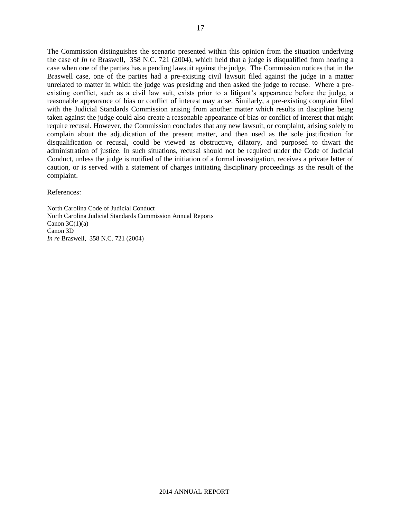The Commission distinguishes the scenario presented within this opinion from the situation underlying the case of *In re* Braswell, 358 N.C. 721 (2004), which held that a judge is disqualified from hearing a case when one of the parties has a pending lawsuit against the judge. The Commission notices that in the Braswell case, one of the parties had a pre-existing civil lawsuit filed against the judge in a matter unrelated to matter in which the judge was presiding and then asked the judge to recuse. Where a preexisting conflict, such as a civil law suit, exists prior to a litigant's appearance before the judge, a reasonable appearance of bias or conflict of interest may arise. Similarly, a pre-existing complaint filed with the Judicial Standards Commission arising from another matter which results in discipline being taken against the judge could also create a reasonable appearance of bias or conflict of interest that might require recusal. However, the Commission concludes that any new lawsuit, or complaint, arising solely to complain about the adjudication of the present matter, and then used as the sole justification for disqualification or recusal, could be viewed as obstructive, dilatory, and purposed to thwart the administration of justice. In such situations, recusal should not be required under the Code of Judicial Conduct, unless the judge is notified of the initiation of a formal investigation, receives a private letter of caution, or is served with a statement of charges initiating disciplinary proceedings as the result of the complaint.

References:

North Carolina Code of Judicial Conduct North Carolina Judicial Standards Commission Annual Reports Canon  $3C(1)(a)$ Canon 3D *In re* Braswell, 358 N.C. 721 (2004)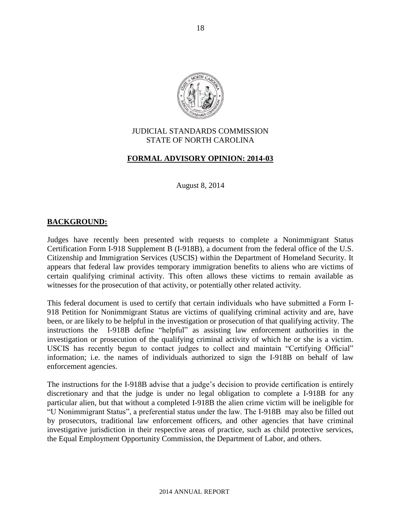

# JUDICIAL STANDARDS COMMISSION STATE OF NORTH CAROLINA

# **FORMAL ADVISORY OPINION: 2014-03**

August 8, 2014

# **BACKGROUND:**

Judges have recently been presented with requests to complete a Nonimmigrant Status Certification Form I-918 Supplement B (I-918B), a document from the federal office of the U.S. Citizenship and Immigration Services (USCIS) within the Department of Homeland Security. It appears that federal law provides temporary immigration benefits to aliens who are victims of certain qualifying criminal activity. This often allows these victims to remain available as witnesses for the prosecution of that activity, or potentially other related activity.

This federal document is used to certify that certain individuals who have submitted a Form I-918 Petition for Nonimmigrant Status are victims of qualifying criminal activity and are, have been, or are likely to be helpful in the investigation or prosecution of that qualifying activity. The instructions the I-918B define "helpful" as assisting law enforcement authorities in the investigation or prosecution of the qualifying criminal activity of which he or she is a victim. USCIS has recently begun to contact judges to collect and maintain "Certifying Official" information; i.e. the names of individuals authorized to sign the I-918B on behalf of law enforcement agencies.

The instructions for the I-918B advise that a judge's decision to provide certification is entirely discretionary and that the judge is under no legal obligation to complete a I-918B for any particular alien, but that without a completed I-918B the alien crime victim will be ineligible for "U Nonimmigrant Status", a preferential status under the law. The I-918B may also be filled out by prosecutors, traditional law enforcement officers, and other agencies that have criminal investigative jurisdiction in their respective areas of practice, such as child protective services, the Equal Employment Opportunity Commission, the Department of Labor, and others.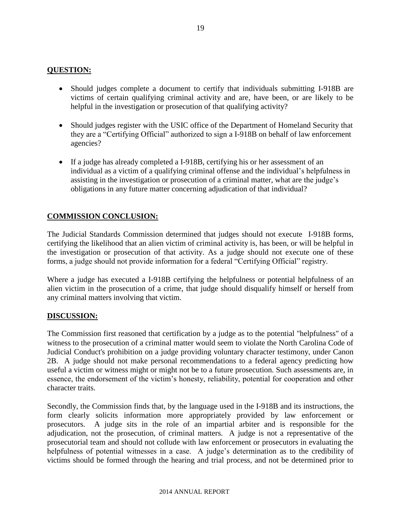# **QUESTION:**

- Should judges complete a document to certify that individuals submitting I-918B are victims of certain qualifying criminal activity and are, have been, or are likely to be helpful in the investigation or prosecution of that qualifying activity?
- Should judges register with the USIC office of the Department of Homeland Security that they are a "Certifying Official" authorized to sign a I-918B on behalf of law enforcement agencies?
- If a judge has already completed a I-918B, certifying his or her assessment of an individual as a victim of a qualifying criminal offense and the individual's helpfulness in assisting in the investigation or prosecution of a criminal matter, what are the judge's obligations in any future matter concerning adjudication of that individual?

# **COMMISSION CONCLUSION:**

The Judicial Standards Commission determined that judges should not execute I-918B forms, certifying the likelihood that an alien victim of criminal activity is, has been, or will be helpful in the investigation or prosecution of that activity. As a judge should not execute one of these forms, a judge should not provide information for a federal "Certifying Official" registry.

Where a judge has executed a I-918B certifying the helpfulness or potential helpfulness of an alien victim in the prosecution of a crime, that judge should disqualify himself or herself from any criminal matters involving that victim.

# **DISCUSSION:**

The Commission first reasoned that certification by a judge as to the potential "helpfulness" of a witness to the prosecution of a criminal matter would seem to violate the North Carolina Code of Judicial Conduct's prohibition on a judge providing voluntary character testimony, under Canon 2B. A judge should not make personal recommendations to a federal agency predicting how useful a victim or witness might or might not be to a future prosecution. Such assessments are, in essence, the endorsement of the victim's honesty, reliability, potential for cooperation and other character traits.

Secondly, the Commission finds that, by the language used in the I-918B and its instructions, the form clearly solicits information more appropriately provided by law enforcement or prosecutors. A judge sits in the role of an impartial arbiter and is responsible for the adjudication, not the prosecution, of criminal matters. A judge is not a representative of the prosecutorial team and should not collude with law enforcement or prosecutors in evaluating the helpfulness of potential witnesses in a case. A judge's determination as to the credibility of victims should be formed through the hearing and trial process, and not be determined prior to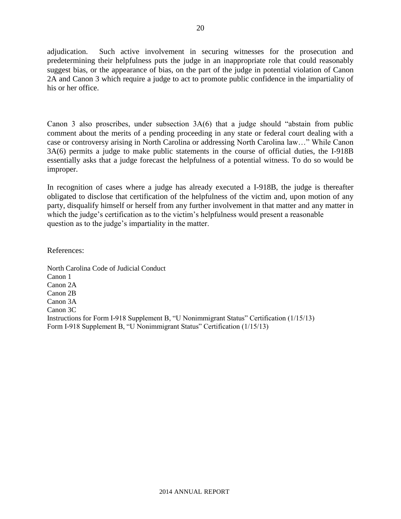adjudication. Such active involvement in securing witnesses for the prosecution and predetermining their helpfulness puts the judge in an inappropriate role that could reasonably suggest bias, or the appearance of bias, on the part of the judge in potential violation of Canon 2A and Canon 3 which require a judge to act to promote public confidence in the impartiality of his or her office.

Canon 3 also proscribes, under subsection 3A(6) that a judge should "abstain from public comment about the merits of a pending proceeding in any state or federal court dealing with a case or controversy arising in North Carolina or addressing North Carolina law…" While Canon 3A(6) permits a judge to make public statements in the course of official duties, the I-918B essentially asks that a judge forecast the helpfulness of a potential witness. To do so would be improper.

In recognition of cases where a judge has already executed a I-918B, the judge is thereafter obligated to disclose that certification of the helpfulness of the victim and, upon motion of any party, disqualify himself or herself from any further involvement in that matter and any matter in which the judge's certification as to the victim's helpfulness would present a reasonable question as to the judge's impartiality in the matter.

References:

North Carolina Code of Judicial Conduct Canon 1 Canon 2A Canon 2B Canon 3A Canon 3C Instructions for Form I-918 Supplement B, "U Nonimmigrant Status" Certification (1/15/13) Form I-918 Supplement B, "U Nonimmigrant Status" Certification (1/15/13)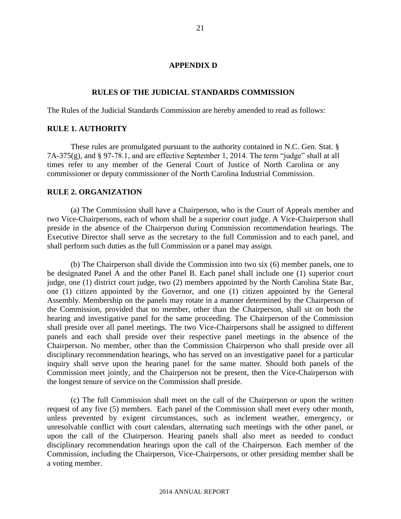# **APPENDIX D**

## **RULES OF THE JUDICIAL STANDARDS COMMISSION**

The Rules of the Judicial Standards Commission are hereby amended to read as follows:

# **RULE 1. AUTHORITY**

These rules are promulgated pursuant to the authority contained in N.C. Gen. Stat. § 7A-375(g), and § 97-78.1, and are effective September 1, 2014. The term "judge" shall at all times refer to any member of the General Court of Justice of North Carolina or any commissioner or deputy commissioner of the North Carolina Industrial Commission.

# **RULE 2. ORGANIZATION**

(a) The Commission shall have a Chairperson, who is the Court of Appeals member and two Vice-Chairpersons, each of whom shall be a superior court judge. A Vice-Chairperson shall preside in the absence of the Chairperson during Commission recommendation hearings. The Executive Director shall serve as the secretary to the full Commission and to each panel, and shall perform such duties as the full Commission or a panel may assign.

(b) The Chairperson shall divide the Commission into two six (6) member panels, one to be designated Panel A and the other Panel B. Each panel shall include one (1) superior court judge, one (1) district court judge, two (2) members appointed by the North Carolina State Bar, one (1) citizen appointed by the Governor, and one (1) citizen appointed by the General Assembly. Membership on the panels may rotate in a manner determined by the Chairperson of the Commission, provided that no member, other than the Chairperson, shall sit on both the hearing and investigative panel for the same proceeding. The Chairperson of the Commission shall preside over all panel meetings. The two Vice-Chairpersons shall be assigned to different panels and each shall preside over their respective panel meetings in the absence of the Chairperson. No member, other than the Commission Chairperson who shall preside over all disciplinary recommendation hearings, who has served on an investigative panel for a particular inquiry shall serve upon the hearing panel for the same matter. Should both panels of the Commission meet jointly, and the Chairperson not be present, then the Vice-Chairperson with the longest tenure of service on the Commission shall preside.

(c) The full Commission shall meet on the call of the Chairperson or upon the written request of any five (5) members. Each panel of the Commission shall meet every other month, unless prevented by exigent circumstances, such as inclement weather, emergency, or unresolvable conflict with court calendars, alternating such meetings with the other panel, or upon the call of the Chairperson. Hearing panels shall also meet as needed to conduct disciplinary recommendation hearings upon the call of the Chairperson. Each member of the Commission, including the Chairperson, Vice-Chairpersons, or other presiding member shall be a voting member.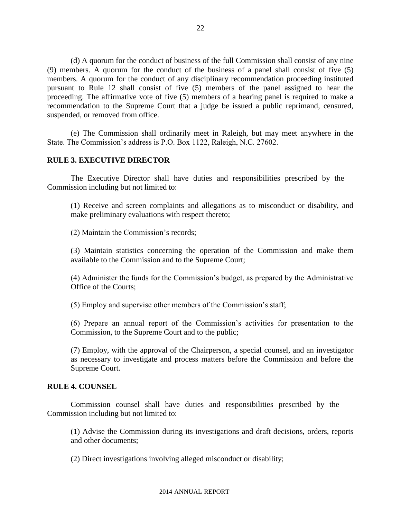(d) A quorum for the conduct of business of the full Commission shall consist of any nine (9) members. A quorum for the conduct of the business of a panel shall consist of five (5) members. A quorum for the conduct of any disciplinary recommendation proceeding instituted pursuant to Rule 12 shall consist of five (5) members of the panel assigned to hear the proceeding. The affirmative vote of five (5) members of a hearing panel is required to make a recommendation to the Supreme Court that a judge be issued a public reprimand, censured, suspended, or removed from office.

(e) The Commission shall ordinarily meet in Raleigh, but may meet anywhere in the State. The Commission's address is P.O. Box 1122, Raleigh, N.C. 27602.

# **RULE 3. EXECUTIVE DIRECTOR**

The Executive Director shall have duties and responsibilities prescribed by the Commission including but not limited to:

(1) Receive and screen complaints and allegations as to misconduct or disability, and make preliminary evaluations with respect thereto;

(2) Maintain the Commission's records;

(3) Maintain statistics concerning the operation of the Commission and make them available to the Commission and to the Supreme Court;

(4) Administer the funds for the Commission's budget, as prepared by the Administrative Office of the Courts;

(5) Employ and supervise other members of the Commission's staff;

(6) Prepare an annual report of the Commission's activities for presentation to the Commission, to the Supreme Court and to the public;

(7) Employ, with the approval of the Chairperson, a special counsel, and an investigator as necessary to investigate and process matters before the Commission and before the Supreme Court.

# **RULE 4. COUNSEL**

Commission counsel shall have duties and responsibilities prescribed by the Commission including but not limited to:

(1) Advise the Commission during its investigations and draft decisions, orders, reports and other documents;

(2) Direct investigations involving alleged misconduct or disability;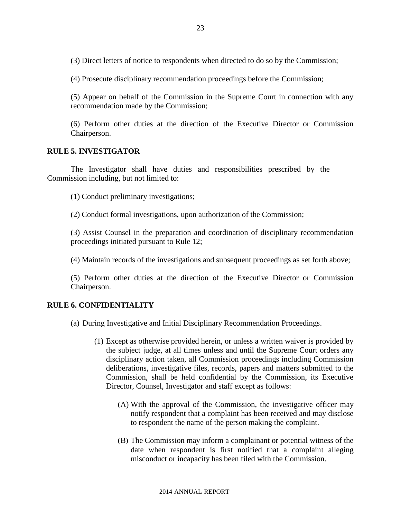(3) Direct letters of notice to respondents when directed to do so by the Commission;

(4) Prosecute disciplinary recommendation proceedings before the Commission;

(5) Appear on behalf of the Commission in the Supreme Court in connection with any recommendation made by the Commission;

(6) Perform other duties at the direction of the Executive Director or Commission Chairperson.

# **RULE 5. INVESTIGATOR**

The Investigator shall have duties and responsibilities prescribed by the Commission including, but not limited to:

(1) Conduct preliminary investigations;

(2) Conduct formal investigations, upon authorization of the Commission;

(3) Assist Counsel in the preparation and coordination of disciplinary recommendation proceedings initiated pursuant to Rule 12;

(4) Maintain records of the investigations and subsequent proceedings as set forth above;

(5) Perform other duties at the direction of the Executive Director or Commission Chairperson.

# **RULE 6. CONFIDENTIALITY**

(a) During Investigative and Initial Disciplinary Recommendation Proceedings.

- (1) Except as otherwise provided herein, or unless a written waiver is provided by the subject judge, at all times unless and until the Supreme Court orders any disciplinary action taken, all Commission proceedings including Commission deliberations, investigative files, records, papers and matters submitted to the Commission, shall be held confidential by the Commission, its Executive Director, Counsel, Investigator and staff except as follows:
	- (A) With the approval of the Commission, the investigative officer may notify respondent that a complaint has been received and may disclose to respondent the name of the person making the complaint.
	- (B) The Commission may inform a complainant or potential witness of the date when respondent is first notified that a complaint alleging misconduct or incapacity has been filed with the Commission.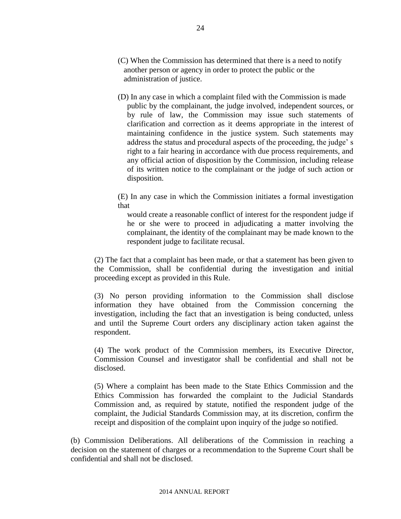- (C) When the Commission has determined that there is a need to notify another person or agency in order to protect the public or the administration of justice.
- (D) In any case in which a complaint filed with the Commission is made public by the complainant, the judge involved, independent sources, or by rule of law, the Commission may issue such statements of clarification and correction as it deems appropriate in the interest of maintaining confidence in the justice system. Such statements may address the status and procedural aspects of the proceeding, the judge' s right to a fair hearing in accordance with due process requirements, and any official action of disposition by the Commission, including release of its written notice to the complainant or the judge of such action or disposition.

(E) In any case in which the Commission initiates a formal investigation that

would create a reasonable conflict of interest for the respondent judge if he or she were to proceed in adjudicating a matter involving the complainant, the identity of the complainant may be made known to the respondent judge to facilitate recusal.

(2) The fact that a complaint has been made, or that a statement has been given to the Commission, shall be confidential during the investigation and initial proceeding except as provided in this Rule.

(3) No person providing information to the Commission shall disclose information they have obtained from the Commission concerning the investigation, including the fact that an investigation is being conducted, unless and until the Supreme Court orders any disciplinary action taken against the respondent.

(4) The work product of the Commission members, its Executive Director, Commission Counsel and investigator shall be confidential and shall not be disclosed.

(5) Where a complaint has been made to the State Ethics Commission and the Ethics Commission has forwarded the complaint to the Judicial Standards Commission and, as required by statute, notified the respondent judge of the complaint, the Judicial Standards Commission may, at its discretion, confirm the receipt and disposition of the complaint upon inquiry of the judge so notified.

(b) Commission Deliberations. All deliberations of the Commission in reaching a decision on the statement of charges or a recommendation to the Supreme Court shall be confidential and shall not be disclosed.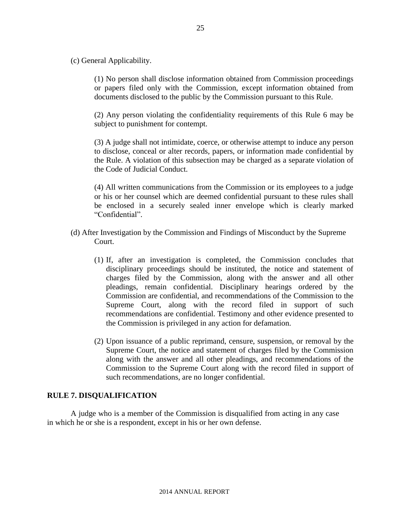(c) General Applicability.

(1) No person shall disclose information obtained from Commission proceedings or papers filed only with the Commission, except information obtained from documents disclosed to the public by the Commission pursuant to this Rule.

(2) Any person violating the confidentiality requirements of this Rule 6 may be subject to punishment for contempt.

(3) A judge shall not intimidate, coerce, or otherwise attempt to induce any person to disclose, conceal or alter records, papers, or information made confidential by the Rule. A violation of this subsection may be charged as a separate violation of the Code of Judicial Conduct.

(4) All written communications from the Commission or its employees to a judge or his or her counsel which are deemed confidential pursuant to these rules shall be enclosed in a securely sealed inner envelope which is clearly marked "Confidential".

- (d) After Investigation by the Commission and Findings of Misconduct by the Supreme Court.
	- (1) If, after an investigation is completed, the Commission concludes that disciplinary proceedings should be instituted, the notice and statement of charges filed by the Commission, along with the answer and all other pleadings, remain confidential. Disciplinary hearings ordered by the Commission are confidential, and recommendations of the Commission to the Supreme Court, along with the record filed in support of such recommendations are confidential. Testimony and other evidence presented to the Commission is privileged in any action for defamation.
	- (2) Upon issuance of a public reprimand, censure, suspension, or removal by the Supreme Court, the notice and statement of charges filed by the Commission along with the answer and all other pleadings, and recommendations of the Commission to the Supreme Court along with the record filed in support of such recommendations, are no longer confidential.

# **RULE 7. DISQUALIFICATION**

A judge who is a member of the Commission is disqualified from acting in any case in which he or she is a respondent, except in his or her own defense.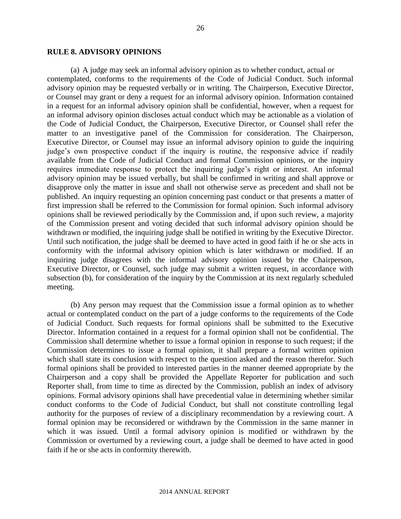#### **RULE 8. ADVISORY OPINIONS**

(a) A judge may seek an informal advisory opinion as to whether conduct, actual or contemplated, conforms to the requirements of the Code of Judicial Conduct. Such informal advisory opinion may be requested verbally or in writing. The Chairperson, Executive Director, or Counsel may grant or deny a request for an informal advisory opinion. Information contained in a request for an informal advisory opinion shall be confidential, however, when a request for an informal advisory opinion discloses actual conduct which may be actionable as a violation of the Code of Judicial Conduct, the Chairperson, Executive Director, or Counsel shall refer the matter to an investigative panel of the Commission for consideration. The Chairperson, Executive Director, or Counsel may issue an informal advisory opinion to guide the inquiring judge's own prospective conduct if the inquiry is routine, the responsive advice if readily available from the Code of Judicial Conduct and formal Commission opinions, or the inquiry requires immediate response to protect the inquiring judge's right or interest. An informal advisory opinion may be issued verbally, but shall be confirmed in writing and shall approve or disapprove only the matter in issue and shall not otherwise serve as precedent and shall not be published. An inquiry requesting an opinion concerning past conduct or that presents a matter of first impression shall be referred to the Commission for formal opinion. Such informal advisory opinions shall be reviewed periodically by the Commission and, if upon such review, a majority of the Commission present and voting decided that such informal advisory opinion should be withdrawn or modified, the inquiring judge shall be notified in writing by the Executive Director. Until such notification, the judge shall be deemed to have acted in good faith if he or she acts in conformity with the informal advisory opinion which is later withdrawn or modified. If an inquiring judge disagrees with the informal advisory opinion issued by the Chairperson, Executive Director, or Counsel, such judge may submit a written request, in accordance with subsection (b), for consideration of the inquiry by the Commission at its next regularly scheduled meeting.

(b) Any person may request that the Commission issue a formal opinion as to whether actual or contemplated conduct on the part of a judge conforms to the requirements of the Code of Judicial Conduct. Such requests for formal opinions shall be submitted to the Executive Director. Information contained in a request for a formal opinion shall not be confidential. The Commission shall determine whether to issue a formal opinion in response to such request; if the Commission determines to issue a formal opinion, it shall prepare a formal written opinion which shall state its conclusion with respect to the question asked and the reason therefor. Such formal opinions shall be provided to interested parties in the manner deemed appropriate by the Chairperson and a copy shall be provided the Appellate Reporter for publication and such Reporter shall, from time to time as directed by the Commission, publish an index of advisory opinions. Formal advisory opinions shall have precedential value in determining whether similar conduct conforms to the Code of Judicial Conduct, but shall not constitute controlling legal authority for the purposes of review of a disciplinary recommendation by a reviewing court. A formal opinion may be reconsidered or withdrawn by the Commission in the same manner in which it was issued. Until a formal advisory opinion is modified or withdrawn by the Commission or overturned by a reviewing court, a judge shall be deemed to have acted in good faith if he or she acts in conformity therewith.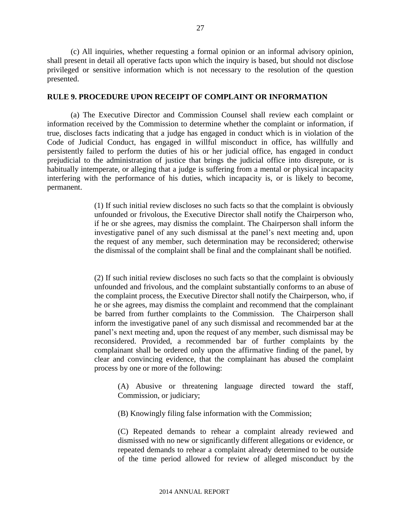(c) All inquiries, whether requesting a formal opinion or an informal advisory opinion, shall present in detail all operative facts upon which the inquiry is based, but should not disclose privileged or sensitive information which is not necessary to the resolution of the question presented.

# **RULE 9. PROCEDURE UPON RECEIPT OF COMPLAINT OR INFORMATION**

(a) The Executive Director and Commission Counsel shall review each complaint or information received by the Commission to determine whether the complaint or information, if true, discloses facts indicating that a judge has engaged in conduct which is in violation of the Code of Judicial Conduct, has engaged in willful misconduct in office, has willfully and persistently failed to perform the duties of his or her judicial office, has engaged in conduct prejudicial to the administration of justice that brings the judicial office into disrepute, or is habitually intemperate, or alleging that a judge is suffering from a mental or physical incapacity interfering with the performance of his duties, which incapacity is, or is likely to become, permanent.

> (1) If such initial review discloses no such facts so that the complaint is obviously unfounded or frivolous, the Executive Director shall notify the Chairperson who, if he or she agrees, may dismiss the complaint. The Chairperson shall inform the investigative panel of any such dismissal at the panel's next meeting and, upon the request of any member, such determination may be reconsidered; otherwise the dismissal of the complaint shall be final and the complainant shall be notified.

> (2) If such initial review discloses no such facts so that the complaint is obviously unfounded and frivolous, and the complaint substantially conforms to an abuse of the complaint process, the Executive Director shall notify the Chairperson, who, if he or she agrees, may dismiss the complaint and recommend that the complainant be barred from further complaints to the Commission. The Chairperson shall inform the investigative panel of any such dismissal and recommended bar at the panel's next meeting and, upon the request of any member, such dismissal may be reconsidered. Provided, a recommended bar of further complaints by the complainant shall be ordered only upon the affirmative finding of the panel, by clear and convincing evidence, that the complainant has abused the complaint process by one or more of the following:

(A) Abusive or threatening language directed toward the staff, Commission, or judiciary;

(B) Knowingly filing false information with the Commission;

(C) Repeated demands to rehear a complaint already reviewed and dismissed with no new or significantly different allegations or evidence, or repeated demands to rehear a complaint already determined to be outside of the time period allowed for review of alleged misconduct by the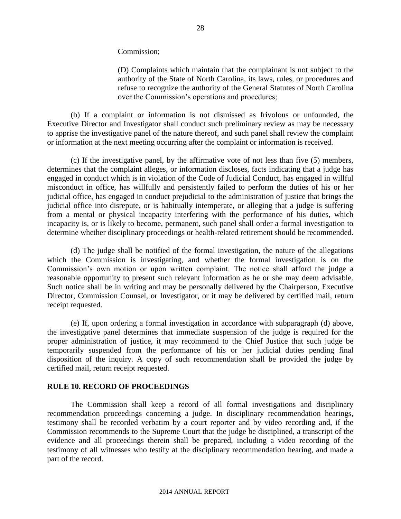# Commission;

(D) Complaints which maintain that the complainant is not subject to the authority of the State of North Carolina, its laws, rules, or procedures and refuse to recognize the authority of the General Statutes of North Carolina over the Commission's operations and procedures;

(b) If a complaint or information is not dismissed as frivolous or unfounded, the Executive Director and Investigator shall conduct such preliminary review as may be necessary to apprise the investigative panel of the nature thereof, and such panel shall review the complaint or information at the next meeting occurring after the complaint or information is received.

(c) If the investigative panel, by the affirmative vote of not less than five (5) members, determines that the complaint alleges, or information discloses, facts indicating that a judge has engaged in conduct which is in violation of the Code of Judicial Conduct, has engaged in willful misconduct in office, has willfully and persistently failed to perform the duties of his or her judicial office, has engaged in conduct prejudicial to the administration of justice that brings the judicial office into disrepute, or is habitually intemperate, or alleging that a judge is suffering from a mental or physical incapacity interfering with the performance of his duties, which incapacity is, or is likely to become, permanent, such panel shall order a formal investigation to determine whether disciplinary proceedings or health-related retirement should be recommended.

(d) The judge shall be notified of the formal investigation, the nature of the allegations which the Commission is investigating, and whether the formal investigation is on the Commission's own motion or upon written complaint. The notice shall afford the judge a reasonable opportunity to present such relevant information as he or she may deem advisable. Such notice shall be in writing and may be personally delivered by the Chairperson, Executive Director, Commission Counsel, or Investigator, or it may be delivered by certified mail, return receipt requested.

(e) If, upon ordering a formal investigation in accordance with subparagraph (d) above, the investigative panel determines that immediate suspension of the judge is required for the proper administration of justice, it may recommend to the Chief Justice that such judge be temporarily suspended from the performance of his or her judicial duties pending final disposition of the inquiry. A copy of such recommendation shall be provided the judge by certified mail, return receipt requested.

# **RULE 10. RECORD OF PROCEEDINGS**

The Commission shall keep a record of all formal investigations and disciplinary recommendation proceedings concerning a judge. In disciplinary recommendation hearings, testimony shall be recorded verbatim by a court reporter and by video recording and, if the Commission recommends to the Supreme Court that the judge be disciplined, a transcript of the evidence and all proceedings therein shall be prepared, including a video recording of the testimony of all witnesses who testify at the disciplinary recommendation hearing, and made a part of the record.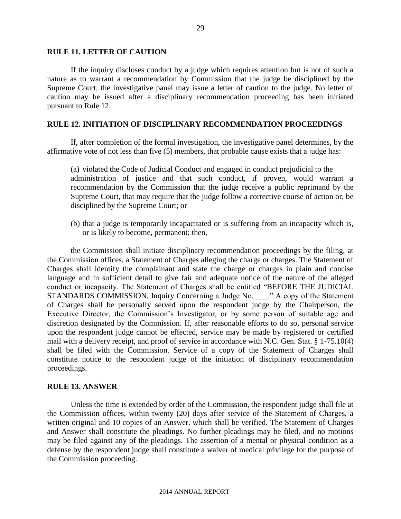# **RULE 11. LETTER OF CAUTION**

If the inquiry discloses conduct by a judge which requires attention but is not of such a nature as to warrant a recommendation by Commission that the judge be disciplined by the Supreme Court, the investigative panel may issue a letter of caution to the judge. No letter of caution may be issued after a disciplinary recommendation proceeding has been initiated pursuant to Rule 12.

# **RULE 12. INITIATION OF DISCIPLINARY RECOMMENDATION PROCEEDINGS**

If, after completion of the formal investigation, the investigative panel determines, by the affirmative vote of not less than five (5) members, that probable cause exists that a judge has:

(a) violated the Code of Judicial Conduct and engaged in conduct prejudicial to the administration of justice and that such conduct, if proven, would warrant a recommendation by the Commission that the judge receive a public reprimand by the Supreme Court, that may require that the judge follow a corrective course of action or, be disciplined by the Supreme Court; or

(b) that a judge is temporarily incapacitated or is suffering from an incapacity which is, or is likely to become, permanent; then,

the Commission shall initiate disciplinary recommendation proceedings by the filing, at the Commission offices, a Statement of Charges alleging the charge or charges. The Statement of Charges shall identify the complainant and state the charge or charges in plain and concise language and in sufficient detail to give fair and adequate notice of the nature of the alleged conduct or incapacity. The Statement of Charges shall be entitled "BEFORE THE JUDICIAL STANDARDS COMMISSION, Inquiry Concerning a Judge No. ... " A copy of the Statement of Charges shall be personally served upon the respondent judge by the Chairperson, the Executive Director, the Commission's Investigator, or by some person of suitable age and discretion designated by the Commission. If, after reasonable efforts to do so, personal service upon the respondent judge cannot be effected, service may be made by registered or certified mail with a delivery receipt, and proof of service in accordance with N.C. Gen. Stat. § 1-75.10(4) shall be filed with the Commission. Service of a copy of the Statement of Charges shall constitute notice to the respondent judge of the initiation of disciplinary recommendation proceedings.

# **RULE 13. ANSWER**

Unless the time is extended by order of the Commission, the respondent judge shall file at the Commission offices, within twenty (20) days after service of the Statement of Charges, a written original and 10 copies of an Answer, which shall be verified. The Statement of Charges and Answer shall constitute the pleadings. No further pleadings may be filed, and no motions may be filed against any of the pleadings. The assertion of a mental or physical condition as a defense by the respondent judge shall constitute a waiver of medical privilege for the purpose of the Commission proceeding.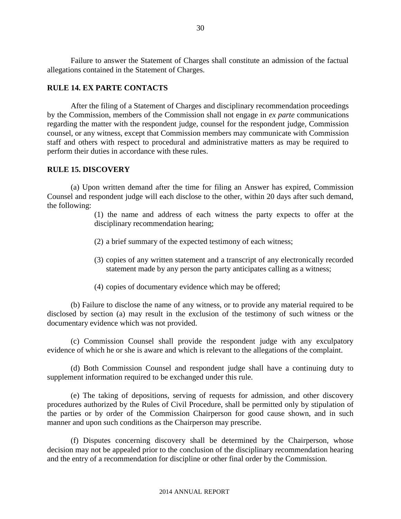Failure to answer the Statement of Charges shall constitute an admission of the factual allegations contained in the Statement of Charges.

# **RULE 14. EX PARTE CONTACTS**

After the filing of a Statement of Charges and disciplinary recommendation proceedings by the Commission, members of the Commission shall not engage in *ex parte* communications regarding the matter with the respondent judge, counsel for the respondent judge, Commission counsel, or any witness, except that Commission members may communicate with Commission staff and others with respect to procedural and administrative matters as may be required to perform their duties in accordance with these rules.

# **RULE 15. DISCOVERY**

(a) Upon written demand after the time for filing an Answer has expired, Commission Counsel and respondent judge will each disclose to the other, within 20 days after such demand, the following:

- (1) the name and address of each witness the party expects to offer at the disciplinary recommendation hearing;
- (2) a brief summary of the expected testimony of each witness;
- (3) copies of any written statement and a transcript of any electronically recorded statement made by any person the party anticipates calling as a witness;
- (4) copies of documentary evidence which may be offered;

(b) Failure to disclose the name of any witness, or to provide any material required to be disclosed by section (a) may result in the exclusion of the testimony of such witness or the documentary evidence which was not provided.

(c) Commission Counsel shall provide the respondent judge with any exculpatory evidence of which he or she is aware and which is relevant to the allegations of the complaint.

(d) Both Commission Counsel and respondent judge shall have a continuing duty to supplement information required to be exchanged under this rule.

(e) The taking of depositions, serving of requests for admission, and other discovery procedures authorized by the Rules of Civil Procedure, shall be permitted only by stipulation of the parties or by order of the Commission Chairperson for good cause shown, and in such manner and upon such conditions as the Chairperson may prescribe.

(f) Disputes concerning discovery shall be determined by the Chairperson, whose decision may not be appealed prior to the conclusion of the disciplinary recommendation hearing and the entry of a recommendation for discipline or other final order by the Commission.

# 30

## 2014 ANNUAL REPORT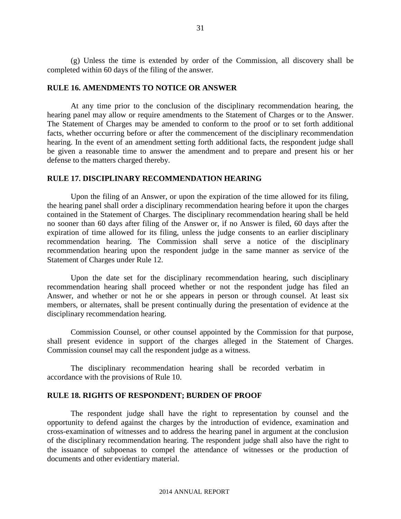(g) Unless the time is extended by order of the Commission, all discovery shall be completed within 60 days of the filing of the answer.

# **RULE 16. AMENDMENTS TO NOTICE OR ANSWER**

At any time prior to the conclusion of the disciplinary recommendation hearing, the hearing panel may allow or require amendments to the Statement of Charges or to the Answer. The Statement of Charges may be amended to conform to the proof or to set forth additional facts, whether occurring before or after the commencement of the disciplinary recommendation hearing. In the event of an amendment setting forth additional facts, the respondent judge shall be given a reasonable time to answer the amendment and to prepare and present his or her defense to the matters charged thereby.

# **RULE 17. DISCIPLINARY RECOMMENDATION HEARING**

Upon the filing of an Answer, or upon the expiration of the time allowed for its filing, the hearing panel shall order a disciplinary recommendation hearing before it upon the charges contained in the Statement of Charges. The disciplinary recommendation hearing shall be held no sooner than 60 days after filing of the Answer or, if no Answer is filed, 60 days after the expiration of time allowed for its filing, unless the judge consents to an earlier disciplinary recommendation hearing. The Commission shall serve a notice of the disciplinary recommendation hearing upon the respondent judge in the same manner as service of the Statement of Charges under Rule 12.

Upon the date set for the disciplinary recommendation hearing, such disciplinary recommendation hearing shall proceed whether or not the respondent judge has filed an Answer, and whether or not he or she appears in person or through counsel. At least six members, or alternates, shall be present continually during the presentation of evidence at the disciplinary recommendation hearing.

Commission Counsel, or other counsel appointed by the Commission for that purpose, shall present evidence in support of the charges alleged in the Statement of Charges. Commission counsel may call the respondent judge as a witness.

The disciplinary recommendation hearing shall be recorded verbatim in accordance with the provisions of Rule 10.

# **RULE 18. RIGHTS OF RESPONDENT; BURDEN OF PROOF**

The respondent judge shall have the right to representation by counsel and the opportunity to defend against the charges by the introduction of evidence, examination and cross-examination of witnesses and to address the hearing panel in argument at the conclusion of the disciplinary recommendation hearing. The respondent judge shall also have the right to the issuance of subpoenas to compel the attendance of witnesses or the production of documents and other evidentiary material.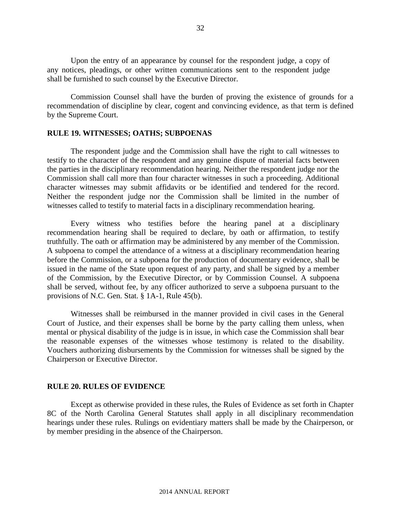Upon the entry of an appearance by counsel for the respondent judge, a copy of any notices, pleadings, or other written communications sent to the respondent judge shall be furnished to such counsel by the Executive Director.

Commission Counsel shall have the burden of proving the existence of grounds for a recommendation of discipline by clear, cogent and convincing evidence, as that term is defined by the Supreme Court.

# **RULE 19. WITNESSES; OATHS; SUBPOENAS**

The respondent judge and the Commission shall have the right to call witnesses to testify to the character of the respondent and any genuine dispute of material facts between the parties in the disciplinary recommendation hearing. Neither the respondent judge nor the Commission shall call more than four character witnesses in such a proceeding. Additional character witnesses may submit affidavits or be identified and tendered for the record. Neither the respondent judge nor the Commission shall be limited in the number of witnesses called to testify to material facts in a disciplinary recommendation hearing.

Every witness who testifies before the hearing panel at a disciplinary recommendation hearing shall be required to declare, by oath or affirmation, to testify truthfully. The oath or affirmation may be administered by any member of the Commission. A subpoena to compel the attendance of a witness at a disciplinary recommendation hearing before the Commission, or a subpoena for the production of documentary evidence, shall be issued in the name of the State upon request of any party, and shall be signed by a member of the Commission, by the Executive Director, or by Commission Counsel. A subpoena shall be served, without fee, by any officer authorized to serve a subpoena pursuant to the provisions of N.C. Gen. Stat. § 1A-1, Rule 45(b).

Witnesses shall be reimbursed in the manner provided in civil cases in the General Court of Justice, and their expenses shall be borne by the party calling them unless, when mental or physical disability of the judge is in issue, in which case the Commission shall bear the reasonable expenses of the witnesses whose testimony is related to the disability. Vouchers authorizing disbursements by the Commission for witnesses shall be signed by the Chairperson or Executive Director.

# **RULE 20. RULES OF EVIDENCE**

Except as otherwise provided in these rules, the Rules of Evidence as set forth in Chapter 8C of the North Carolina General Statutes shall apply in all disciplinary recommendation hearings under these rules. Rulings on evidentiary matters shall be made by the Chairperson, or by member presiding in the absence of the Chairperson.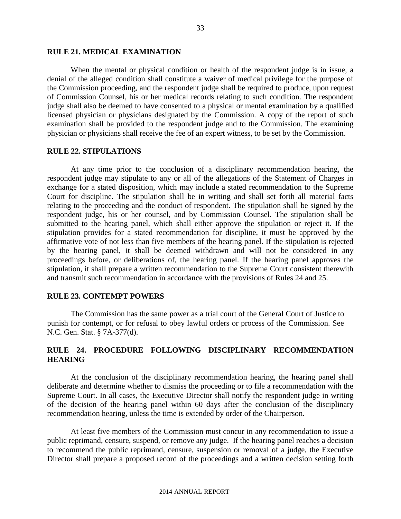# **RULE 21. MEDICAL EXAMINATION**

When the mental or physical condition or health of the respondent judge is in issue, a denial of the alleged condition shall constitute a waiver of medical privilege for the purpose of the Commission proceeding, and the respondent judge shall be required to produce, upon request of Commission Counsel, his or her medical records relating to such condition. The respondent judge shall also be deemed to have consented to a physical or mental examination by a qualified licensed physician or physicians designated by the Commission. A copy of the report of such examination shall be provided to the respondent judge and to the Commission. The examining physician or physicians shall receive the fee of an expert witness, to be set by the Commission.

# **RULE 22. STIPULATIONS**

At any time prior to the conclusion of a disciplinary recommendation hearing, the respondent judge may stipulate to any or all of the allegations of the Statement of Charges in exchange for a stated disposition, which may include a stated recommendation to the Supreme Court for discipline. The stipulation shall be in writing and shall set forth all material facts relating to the proceeding and the conduct of respondent. The stipulation shall be signed by the respondent judge, his or her counsel, and by Commission Counsel. The stipulation shall be submitted to the hearing panel, which shall either approve the stipulation or reject it. If the stipulation provides for a stated recommendation for discipline, it must be approved by the affirmative vote of not less than five members of the hearing panel. If the stipulation is rejected by the hearing panel, it shall be deemed withdrawn and will not be considered in any proceedings before, or deliberations of, the hearing panel. If the hearing panel approves the stipulation, it shall prepare a written recommendation to the Supreme Court consistent therewith and transmit such recommendation in accordance with the provisions of Rules 24 and 25.

# **RULE 23. CONTEMPT POWERS**

The Commission has the same power as a trial court of the General Court of Justice to punish for contempt, or for refusal to obey lawful orders or process of the Commission. See N.C. Gen. Stat. § 7A-377(d).

# **RULE 24. PROCEDURE FOLLOWING DISCIPLINARY RECOMMENDATION HEARING**

At the conclusion of the disciplinary recommendation hearing, the hearing panel shall deliberate and determine whether to dismiss the proceeding or to file a recommendation with the Supreme Court. In all cases, the Executive Director shall notify the respondent judge in writing of the decision of the hearing panel within 60 days after the conclusion of the disciplinary recommendation hearing, unless the time is extended by order of the Chairperson.

At least five members of the Commission must concur in any recommendation to issue a public reprimand, censure, suspend, or remove any judge. If the hearing panel reaches a decision to recommend the public reprimand, censure, suspension or removal of a judge, the Executive Director shall prepare a proposed record of the proceedings and a written decision setting forth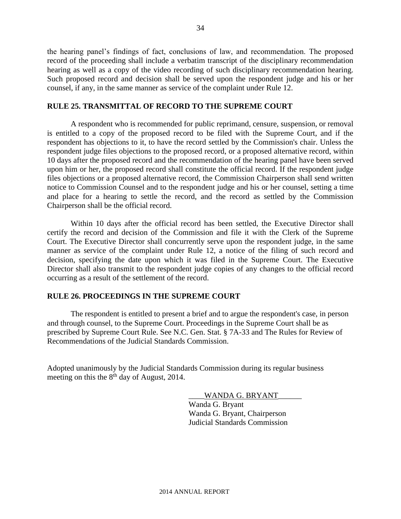the hearing panel's findings of fact, conclusions of law, and recommendation. The proposed record of the proceeding shall include a verbatim transcript of the disciplinary recommendation hearing as well as a copy of the video recording of such disciplinary recommendation hearing. Such proposed record and decision shall be served upon the respondent judge and his or her counsel, if any, in the same manner as service of the complaint under Rule 12.

# **RULE 25. TRANSMITTAL OF RECORD TO THE SUPREME COURT**

A respondent who is recommended for public reprimand, censure, suspension, or removal is entitled to a copy of the proposed record to be filed with the Supreme Court, and if the respondent has objections to it, to have the record settled by the Commission's chair. Unless the respondent judge files objections to the proposed record, or a proposed alternative record, within 10 days after the proposed record and the recommendation of the hearing panel have been served upon him or her, the proposed record shall constitute the official record. If the respondent judge files objections or a proposed alternative record, the Commission Chairperson shall send written notice to Commission Counsel and to the respondent judge and his or her counsel, setting a time and place for a hearing to settle the record, and the record as settled by the Commission Chairperson shall be the official record.

Within 10 days after the official record has been settled, the Executive Director shall certify the record and decision of the Commission and file it with the Clerk of the Supreme Court. The Executive Director shall concurrently serve upon the respondent judge, in the same manner as service of the complaint under Rule 12, a notice of the filing of such record and decision, specifying the date upon which it was filed in the Supreme Court. The Executive Director shall also transmit to the respondent judge copies of any changes to the official record occurring as a result of the settlement of the record.

# **RULE 26. PROCEEDINGS IN THE SUPREME COURT**

The respondent is entitled to present a brief and to argue the respondent's case, in person and through counsel, to the Supreme Court. Proceedings in the Supreme Court shall be as prescribed by Supreme Court Rule. See N.C. Gen. Stat. § 7A-33 and The Rules for Review of Recommendations of the Judicial Standards Commission.

Adopted unanimously by the Judicial Standards Commission during its regular business meeting on this the  $8<sup>th</sup>$  day of August, 2014.

\_\_\_\_WANDA G. BRYANT\_\_\_\_\_\_

Wanda G. Bryant Wanda G. Bryant, Chairperson Judicial Standards Commission